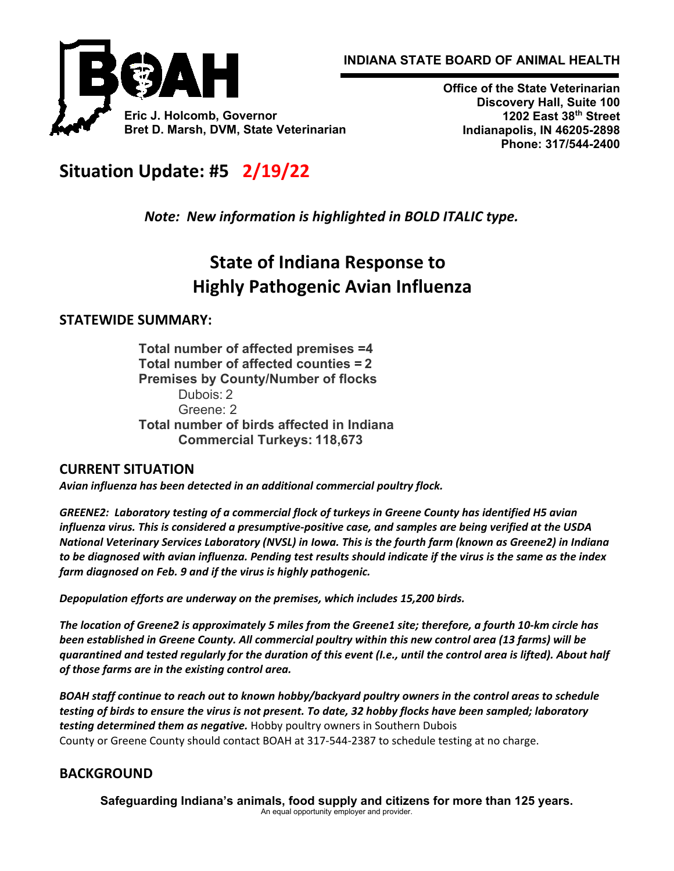



**Office of the State Veterinarian Discovery Hall, Suite 100 1202 East 38th Street Indianapolis, IN 46205-2898 Phone: 317/544-2400**

# **Situation Update: #5   2/19/22**

*Note:  New information is highlighted in BOLD ITALIC type.*

# **State of Indiana Response to Highly Pathogenic Avian Influenza**

## **STATEWIDE SUMMARY:**

**Total number of affected premises =4 Total number of affected counties = 2 Premises by County/Number of flocks** Dubois: 2 Greene: 2 **Total number of birds affected in Indiana Commercial Turkeys: 118,673**

### **CURRENT SITUATION**

*Avian influenza has been detected in an additional commercial poultry flock.*

*GREENE2:  Laboratory testing of a commercial flock of turkeys in Greene County has identified H5 avian influenza virus. This is considered a presumptive-positive case, and samples are being verified at the USDA National Veterinary Services Laboratory (NVSL) in Iowa. This is the fourth farm (known as Greene2) in Indiana to be diagnosed with avian influenza. Pending test results should indicate if the virus is the same as the index farm diagnosed on Feb. 9 and if the virus is highly pathogenic.*

*Depopulation efforts are underway on the premises, which includes 15,200 birds.*

*The location of Greene2 is approximately 5 miles from the Greene1 site; therefore, a fourth 10-km circle has been established in Greene County. All commercial poultry within this new control area (13 farms) will be quarantined and tested regularly for the duration of this event (I.e., until the control area is lifted). About half of those farms are in the existing control area.*

*BOAH staff continue to reach out to known hobby/backyard poultry owners in the control areas to schedule testing of birds to ensure the virus is not present. To date, 32 hobby flocks have been sampled; laboratory testing determined them as negative.* Hobby poultry owners in Southern Dubois County or Greene County should contact BOAH at 317-544-2387 to schedule testing at no charge. 

## **BACKGROUND**

**Safeguarding Indiana's animals, food supply and citizens for more than 125 years.** An equal opportunity employer and provider.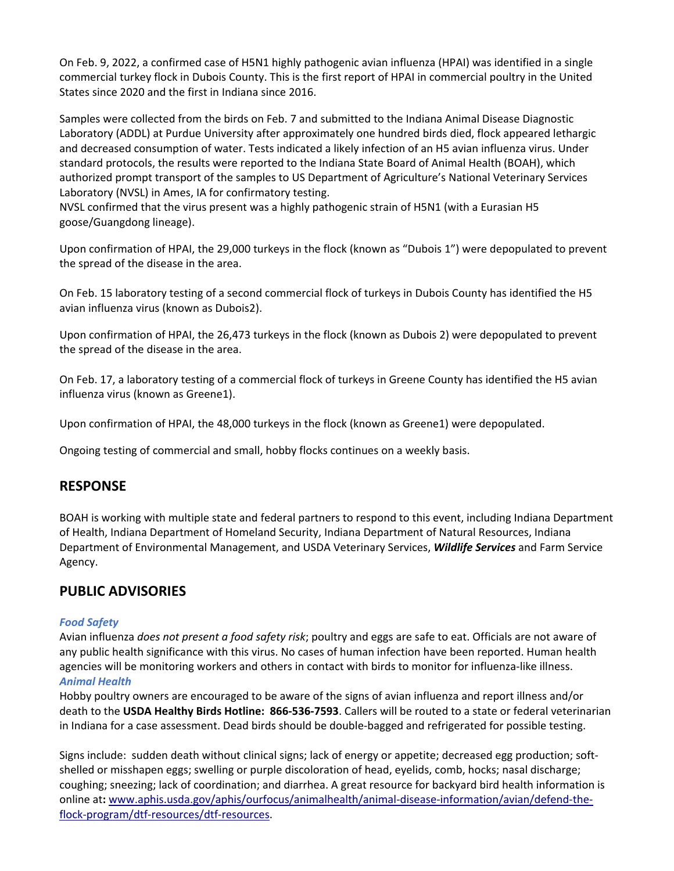On Feb. 9, 2022, a confirmed case of H5N1 highly pathogenic avian influenza (HPAI) was identified in a single commercial turkey flock in Dubois County. This is the first report of HPAI in commercial poultry in the United States since 2020 and the first in Indiana since 2016.

Samples were collected from the birds on Feb. 7 and submitted to the Indiana Animal Disease Diagnostic Laboratory (ADDL) at Purdue University after approximately one hundred birds died, flock appeared lethargic and decreased consumption of water. Tests indicated a likely infection of an H5 avian influenza virus. Under standard protocols, the results were reported to the Indiana State Board of Animal Health (BOAH), which authorized prompt transport of the samples to US Department of Agriculture's National Veterinary Services Laboratory (NVSL) in Ames, IA for confirmatory testing.

NVSL confirmed that the virus present was a highly pathogenic strain of H5N1 (with a Eurasian H5 goose/Guangdong lineage).

Upon confirmation of HPAI, the 29,000 turkeys in the flock (known as "Dubois 1") were depopulated to prevent the spread of the disease in the area. 

On Feb. 15 laboratory testing of a second commercial flock of turkeys in Dubois County has identified the H5 avian influenza virus (known as Dubois2). 

Upon confirmation of HPAI, the 26,473 turkeys in the flock (known as Dubois 2) were depopulated to prevent the spread of the disease in the area.

On Feb. 17, a laboratory testing of a commercial flock of turkeys in Greene County has identified the H5 avian influenza virus (known as Greene1).

Upon confirmation of HPAI, the 48,000 turkeys in the flock (known as Greene1) were depopulated.

Ongoing testing of commercial and small, hobby flocks continues on a weekly basis.

#### **RESPONSE**

BOAH is working with multiple state and federal partners to respond to this event, including Indiana Department of Health, Indiana Department of Homeland Security, Indiana Department of Natural Resources, Indiana Department of Environmental Management, and USDA Veterinary Services, *Wildlife Services* and Farm Service Agency.

#### **PUBLIC ADVISORIES**

#### *Food Safety*

Avian influenza *does not present a food safety risk*; poultry and eggs are safe to eat. Officials are not aware of any public health significance with this virus. No cases of human infection have been reported. Human health agencies will be monitoring workers and others in contact with birds to monitor for influenza-like illness. *Animal Health*

Hobby poultry owners are encouraged to be aware of the signs of avian influenza and report illness and/or death to the **USDA Healthy Birds Hotline:  866-536-7593**. Callers will be routed to a state or federal veterinarian in Indiana for a case assessment. Dead birds should be double-bagged and refrigerated for possible testing.

Signs include:  sudden death without clinical signs; lack of energy or appetite; decreased egg production; softshelled or misshapen eggs; swelling or purple discoloration of head, eyelids, comb, hocks; nasal discharge; coughing; sneezing; lack of coordination; and diarrhea. A great resource for backyard bird health information is online at**:** [www.aphis.usda.gov/aphis/ourfocus/animalhealth/animal](http://www.aphis.usda.gov/aphis/ourfocus/animalhealth/animal-disease-information/avian/defend-the-flock-program/dtf-resources/dtf-resources)-disease-information/avian/defend-theflock-program/dtf-[resources/dtf](http://www.aphis.usda.gov/aphis/ourfocus/animalhealth/animal-disease-information/avian/defend-the-flock-program/dtf-resources/dtf-resources)-resources.